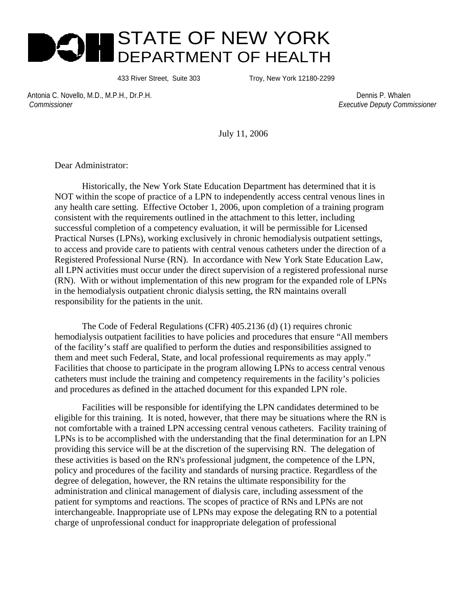# STATE OF NEW YORK DEPARTMENT OF HEALTH

433 River Street, Suite 303 Troy, New York 12180-2299

Antonia C. Novello, M.D., M.P.H., Dr.P.H. Dennis P. Whalen  *Commissioner Executive Deputy Commissioner*

July 11, 2006

Dear Administrator:

 Historically, the New York State Education Department has determined that it is NOT within the scope of practice of a LPN to independently access central venous lines in any health care setting. Effective October 1, 2006, upon completion of a training program consistent with the requirements outlined in the attachment to this letter, including successful completion of a competency evaluation, it will be permissible for Licensed Practical Nurses (LPNs), working exclusively in chronic hemodialysis outpatient settings, to access and provide care to patients with central venous catheters under the direction of a Registered Professional Nurse (RN). In accordance with New York State Education Law, all LPN activities must occur under the direct supervision of a registered professional nurse (RN). With or without implementation of this new program for the expanded role of LPNs in the hemodialysis outpatient chronic dialysis setting, the RN maintains overall responsibility for the patients in the unit.

 The Code of Federal Regulations (CFR) 405.2136 (d) (1) requires chronic hemodialysis outpatient facilities to have policies and procedures that ensure "All members of the facility's staff are qualified to perform the duties and responsibilities assigned to them and meet such Federal, State, and local professional requirements as may apply." Facilities that choose to participate in the program allowing LPNs to access central venous catheters must include the training and competency requirements in the facility's policies and procedures as defined in the attached document for this expanded LPN role.

Facilities will be responsible for identifying the LPN candidates determined to be eligible for this training. It is noted, however, that there may be situations where the RN is not comfortable with a trained LPN accessing central venous catheters. Facility training of LPNs is to be accomplished with the understanding that the final determination for an LPN providing this service will be at the discretion of the supervising RN. The delegation of these activities is based on the RN's professional judgment, the competence of the LPN, policy and procedures of the facility and standards of nursing practice. Regardless of the degree of delegation, however, the RN retains the ultimate responsibility for the administration and clinical management of dialysis care, including assessment of the patient for symptoms and reactions. The scopes of practice of RNs and LPNs are not interchangeable. Inappropriate use of LPNs may expose the delegating RN to a potential charge of unprofessional conduct for inappropriate delegation of professional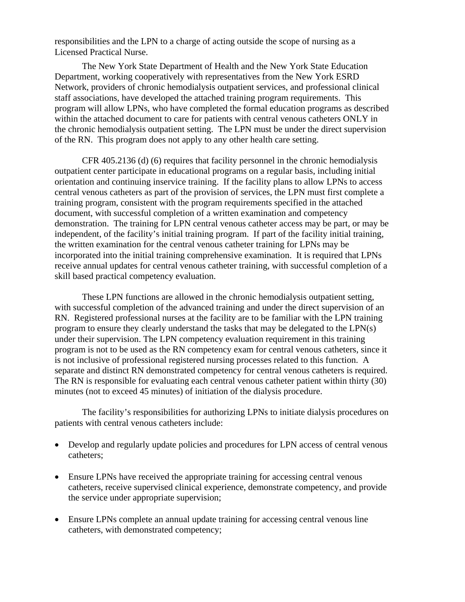responsibilities and the LPN to a charge of acting outside the scope of nursing as a Licensed Practical Nurse.

The New York State Department of Health and the New York State Education Department, working cooperatively with representatives from the New York ESRD Network, providers of chronic hemodialysis outpatient services, and professional clinical staff associations, have developed the attached training program requirements. This program will allow LPNs, who have completed the formal education programs as described within the attached document to care for patients with central venous catheters ONLY in the chronic hemodialysis outpatient setting. The LPN must be under the direct supervision of the RN. This program does not apply to any other health care setting.

 CFR 405.2136 (d) (6) requires that facility personnel in the chronic hemodialysis outpatient center participate in educational programs on a regular basis, including initial orientation and continuing inservice training. If the facility plans to allow LPNs to access central venous catheters as part of the provision of services, the LPN must first complete a training program, consistent with the program requirements specified in the attached document, with successful completion of a written examination and competency demonstration. The training for LPN central venous catheter access may be part, or may be independent, of the facility's initial training program. If part of the facility initial training, the written examination for the central venous catheter training for LPNs may be incorporated into the initial training comprehensive examination. It is required that LPNs receive annual updates for central venous catheter training, with successful completion of a skill based practical competency evaluation.

 These LPN functions are allowed in the chronic hemodialysis outpatient setting, with successful completion of the advanced training and under the direct supervision of an RN. Registered professional nurses at the facility are to be familiar with the LPN training program to ensure they clearly understand the tasks that may be delegated to the LPN(s) under their supervision. The LPN competency evaluation requirement in this training program is not to be used as the RN competency exam for central venous catheters, since it is not inclusive of professional registered nursing processes related to this function. A separate and distinct RN demonstrated competency for central venous catheters is required. The RN is responsible for evaluating each central venous catheter patient within thirty (30) minutes (not to exceed 45 minutes) of initiation of the dialysis procedure.

 The facility's responsibilities for authorizing LPNs to initiate dialysis procedures on patients with central venous catheters include:

- Develop and regularly update policies and procedures for LPN access of central venous catheters;
- Ensure LPNs have received the appropriate training for accessing central venous catheters, receive supervised clinical experience, demonstrate competency, and provide the service under appropriate supervision;
- Ensure LPNs complete an annual update training for accessing central venous line catheters, with demonstrated competency;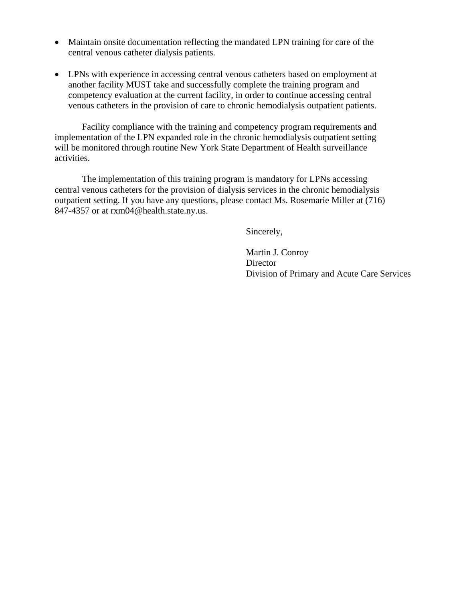- Maintain onsite documentation reflecting the mandated LPN training for care of the central venous catheter dialysis patients.
- LPNs with experience in accessing central venous catheters based on employment at another facility MUST take and successfully complete the training program and competency evaluation at the current facility, in order to continue accessing central venous catheters in the provision of care to chronic hemodialysis outpatient patients.

 Facility compliance with the training and competency program requirements and implementation of the LPN expanded role in the chronic hemodialysis outpatient setting will be monitored through routine New York State Department of Health surveillance activities.

The implementation of this training program is mandatory for LPNs accessing central venous catheters for the provision of dialysis services in the chronic hemodialysis outpatient setting. If you have any questions, please contact Ms. Rosemarie Miller at (716) 847-4357 or at rxm04@health.state.ny.us.

Sincerely,

 Martin J. Conroy Director Division of Primary and Acute Care Services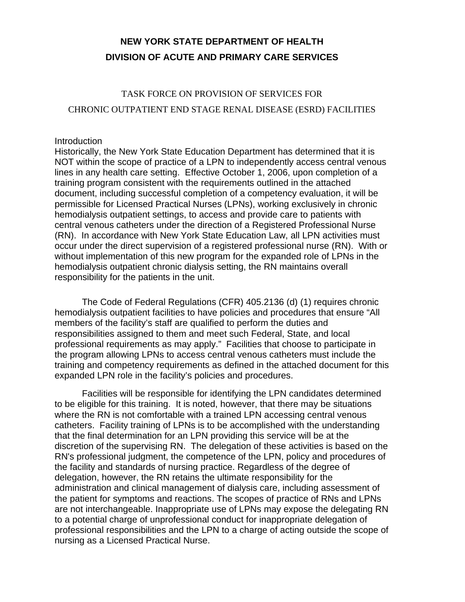## **NEW YORK STATE DEPARTMENT OF HEALTH DIVISION OF ACUTE AND PRIMARY CARE SERVICES**

## TASK FORCE ON PROVISION OF SERVICES FOR

#### CHRONIC OUTPATIENT END STAGE RENAL DISEASE (ESRD) FACILITIES

#### **Introduction**

Historically, the New York State Education Department has determined that it is NOT within the scope of practice of a LPN to independently access central venous lines in any health care setting. Effective October 1, 2006, upon completion of a training program consistent with the requirements outlined in the attached document, including successful completion of a competency evaluation, it will be permissible for Licensed Practical Nurses (LPNs), working exclusively in chronic hemodialysis outpatient settings, to access and provide care to patients with central venous catheters under the direction of a Registered Professional Nurse (RN). In accordance with New York State Education Law, all LPN activities must occur under the direct supervision of a registered professional nurse (RN). With or without implementation of this new program for the expanded role of LPNs in the hemodialysis outpatient chronic dialysis setting, the RN maintains overall responsibility for the patients in the unit.

 The Code of Federal Regulations (CFR) 405.2136 (d) (1) requires chronic hemodialysis outpatient facilities to have policies and procedures that ensure "All members of the facility's staff are qualified to perform the duties and responsibilities assigned to them and meet such Federal, State, and local professional requirements as may apply." Facilities that choose to participate in the program allowing LPNs to access central venous catheters must include the training and competency requirements as defined in the attached document for this expanded LPN role in the facility's policies and procedures.

Facilities will be responsible for identifying the LPN candidates determined to be eligible for this training. It is noted, however, that there may be situations where the RN is not comfortable with a trained LPN accessing central venous catheters. Facility training of LPNs is to be accomplished with the understanding that the final determination for an LPN providing this service will be at the discretion of the supervising RN. The delegation of these activities is based on the RN's professional judgment, the competence of the LPN, policy and procedures of the facility and standards of nursing practice. Regardless of the degree of delegation, however, the RN retains the ultimate responsibility for the administration and clinical management of dialysis care, including assessment of the patient for symptoms and reactions. The scopes of practice of RNs and LPNs are not interchangeable. Inappropriate use of LPNs may expose the delegating RN to a potential charge of unprofessional conduct for inappropriate delegation of professional responsibilities and the LPN to a charge of acting outside the scope of nursing as a Licensed Practical Nurse.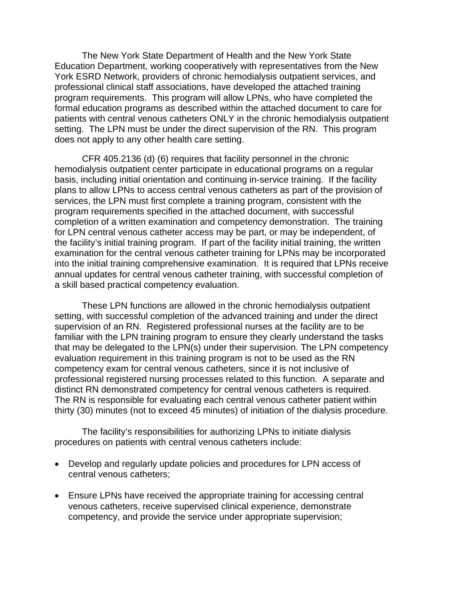The New York State Department of Health and the New York State Education Department, working cooperatively with representatives from the New York ESRD Network, providers of chronic hemodialysis outpatient services, and professional clinical staff associations, have developed the attached training program requirements. This program will allow LPNs, who have completed the formal education programs as described within the attached document to care for patients with central venous catheters ONLY in the chronic hemodialysis outpatient setting. The LPN must be under the direct supervision of the RN. This program does not apply to any other health care setting.

CFR 405.2136 (d) (6) requires that facility personnel in the chronic hemodialysis outpatient center participate in educational programs on a regular basis, including initial orientation and continuing in-service training. If the facility plans to allow LPNs to access central venous catheters as part of the provision of services, the LPN must first complete a training program, consistent with the program requirements specified in the attached document, with successful completion of a written examination and competency demonstration. The training for LPN central venous catheter access may be part, or may be independent, of the facility's initial training program. If part of the facility initial training, the written examination for the central venous catheter training for LPNs may be incorporated into the initial training comprehensive examination. It is required that LPNs receive annual updates for central venous catheter training, with successful completion of a skill based practical competency evaluation.

 These LPN functions are allowed in the chronic hemodialysis outpatient setting, with successful completion of the advanced training and under the direct supervision of an RN. Registered professional nurses at the facility are to be familiar with the LPN training program to ensure they clearly understand the tasks that may be delegated to the LPN(s) under their supervision. The LPN competency evaluation requirement in this training program is not to be used as the RN competency exam for central venous catheters, since it is not inclusive of professional registered nursing processes related to this function. A separate and distinct RN demonstrated competency for central venous catheters is required. The RN is responsible for evaluating each central venous catheter patient within thirty (30) minutes (not to exceed 45 minutes) of initiation of the dialysis procedure.

 The facility's responsibilities for authorizing LPNs to initiate dialysis procedures on patients with central venous catheters include:

- Develop and regularly update policies and procedures for LPN access of central venous catheters;
- Ensure LPNs have received the appropriate training for accessing central venous catheters, receive supervised clinical experience, demonstrate competency, and provide the service under appropriate supervision;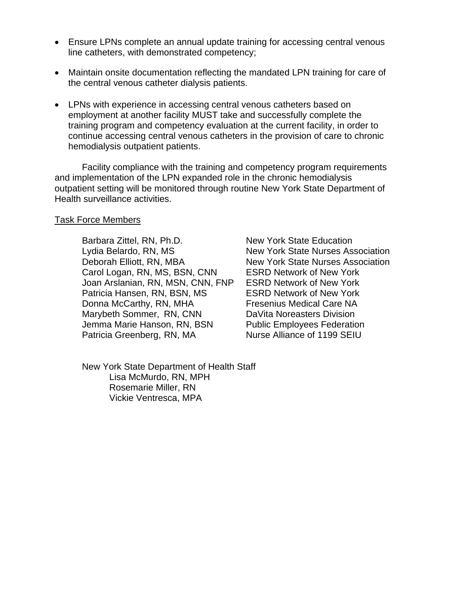- Ensure LPNs complete an annual update training for accessing central venous line catheters, with demonstrated competency;
- Maintain onsite documentation reflecting the mandated LPN training for care of the central venous catheter dialysis patients.
- LPNs with experience in accessing central venous catheters based on employment at another facility MUST take and successfully complete the training program and competency evaluation at the current facility, in order to continue accessing central venous catheters in the provision of care to chronic hemodialysis outpatient patients.

 Facility compliance with the training and competency program requirements and implementation of the LPN expanded role in the chronic hemodialysis outpatient setting will be monitored through routine New York State Department of Health surveillance activities.

#### Task Force Members

Barbara Zittel, RN, Ph.D. New York State Education Lydia Belardo, RN, MS<br>
New York State Nurses Association Deborah Elliott, RN, MBA New York State Nurses Association Carol Logan, RN, MS, BSN, CNN ESRD Network of New York Joan Arslanian, RN, MSN, CNN, FNP ESRD Network of New York Patricia Hansen, RN, BSN, MS ESRD Network of New York Donna McCarthy, RN, MHA Fresenius Medical Care NA Marybeth Sommer, RN, CNN DaVita Noreasters Division Jemma Marie Hanson, RN, BSN Public Employees Federation Patricia Greenberg, RN, MA Nurse Alliance of 1199 SEIU

 New York State Department of Health Staff Lisa McMurdo, RN, MPH Rosemarie Miller, RN Vickie Ventresca, MPA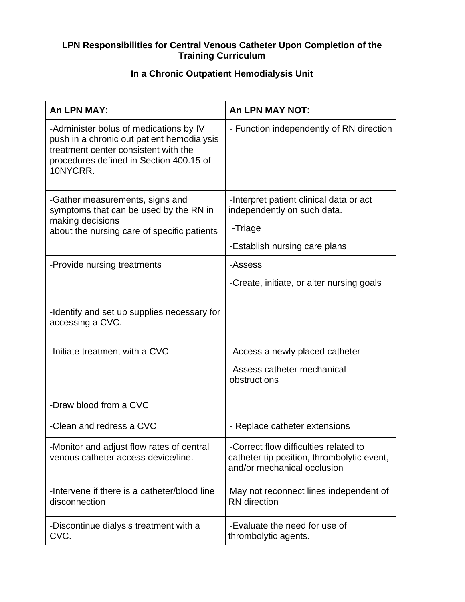#### **LPN Responsibilities for Central Venous Catheter Upon Completion of the Training Curriculum**

## **In a Chronic Outpatient Hemodialysis Unit**

| An LPN MAY:                                                                                                                                                                         | <b>An LPN MAY NOT:</b>                                                                                             |
|-------------------------------------------------------------------------------------------------------------------------------------------------------------------------------------|--------------------------------------------------------------------------------------------------------------------|
| -Administer bolus of medications by IV<br>push in a chronic out patient hemodialysis<br>treatment center consistent with the<br>procedures defined in Section 400.15 of<br>10NYCRR. | - Function independently of RN direction                                                                           |
| -Gather measurements, signs and<br>symptoms that can be used by the RN in<br>making decisions<br>about the nursing care of specific patients                                        | -Interpret patient clinical data or act<br>independently on such data.<br>-Triage<br>-Establish nursing care plans |
| -Provide nursing treatments                                                                                                                                                         | -Assess                                                                                                            |
|                                                                                                                                                                                     | -Create, initiate, or alter nursing goals                                                                          |
| -Identify and set up supplies necessary for<br>accessing a CVC.                                                                                                                     |                                                                                                                    |
| -Initiate treatment with a CVC                                                                                                                                                      | -Access a newly placed catheter<br>-Assess catheter mechanical<br>obstructions                                     |
| -Draw blood from a CVC                                                                                                                                                              |                                                                                                                    |
| -Clean and redress a CVC                                                                                                                                                            | - Replace catheter extensions                                                                                      |
| -Monitor and adjust flow rates of central<br>venous catheter access device/line.                                                                                                    | -Correct flow difficulties related to<br>catheter tip position, thrombolytic event,<br>and/or mechanical occlusion |
| -Intervene if there is a catheter/blood line<br>disconnection                                                                                                                       | May not reconnect lines independent of<br><b>RN</b> direction                                                      |
| -Discontinue dialysis treatment with a<br>CVC.                                                                                                                                      | -Evaluate the need for use of<br>thrombolytic agents.                                                              |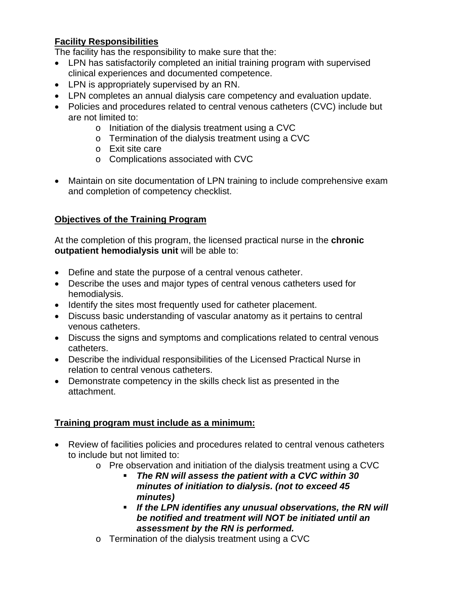### **Facility Responsibilities**

The facility has the responsibility to make sure that the:

- LPN has satisfactorily completed an initial training program with supervised clinical experiences and documented competence.
- LPN is appropriately supervised by an RN.
- LPN completes an annual dialysis care competency and evaluation update.
- Policies and procedures related to central venous catheters (CVC) include but are not limited to:
	- o Initiation of the dialysis treatment using a CVC
	- o Termination of the dialysis treatment using a CVC
	- o Exit site care
	- o Complications associated with CVC
- Maintain on site documentation of LPN training to include comprehensive exam and completion of competency checklist.

### **Objectives of the Training Program**

At the completion of this program, the licensed practical nurse in the **chronic outpatient hemodialysis unit** will be able to:

- Define and state the purpose of a central venous catheter.
- Describe the uses and major types of central venous catheters used for hemodialysis.
- Identify the sites most frequently used for catheter placement.
- Discuss basic understanding of vascular anatomy as it pertains to central venous catheters.
- Discuss the signs and symptoms and complications related to central venous catheters.
- Describe the individual responsibilities of the Licensed Practical Nurse in relation to central venous catheters.
- Demonstrate competency in the skills check list as presented in the attachment.

### **Training program must include as a minimum:**

- Review of facilities policies and procedures related to central venous catheters to include but not limited to:
	- o Pre observation and initiation of the dialysis treatment using a CVC
		- *The RN will assess the patient with a CVC within 30 minutes of initiation to dialysis. (not to exceed 45 minutes)*
		- *If the LPN identifies any unusual observations, the RN will be notified and treatment will NOT be initiated until an assessment by the RN is performed.*
	- o Termination of the dialysis treatment using a CVC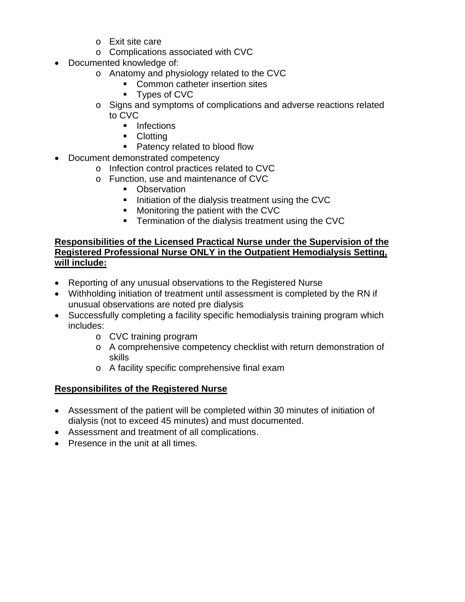- o Exit site care
- o Complications associated with CVC
- Documented knowledge of:
	- o Anatomy and physiology related to the CVC
		- **Common catheter insertion sites**
		- Types of CVC
		- o Signs and symptoms of complications and adverse reactions related to CVC
			- **Infections**
			- **Clotting**
			- Patency related to blood flow
- Document demonstrated competency
	- o Infection control practices related to CVC
	- o Function, use and maintenance of CVC
		- Observation
		- Initiation of the dialysis treatment using the CVC
		- **Monitoring the patient with the CVC**
		- **Termination of the dialysis treatment using the CVC**

### **Responsibilities of the Licensed Practical Nurse under the Supervision of the Registered Professional Nurse ONLY in the Outpatient Hemodialysis Setting, will include:**

- Reporting of any unusual observations to the Registered Nurse
- Withholding initiation of treatment until assessment is completed by the RN if unusual observations are noted pre dialysis
- Successfully completing a facility specific hemodialysis training program which includes:
	- o CVC training program
	- o A comprehensive competency checklist with return demonstration of skills
	- o A facility specific comprehensive final exam

### **Responsibilites of the Registered Nurse**

- Assessment of the patient will be completed within 30 minutes of initiation of dialysis (not to exceed 45 minutes) and must documented.
- Assessment and treatment of all complications.
- Presence in the unit at all times.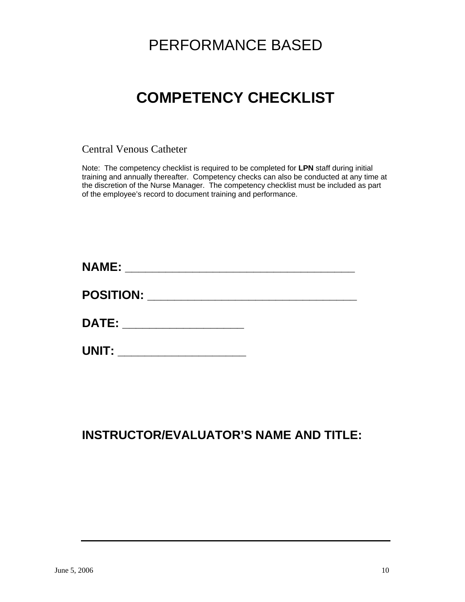# PERFORMANCE BASED

# **COMPETENCY CHECKLIST**

Central Venous Catheter

Note: The competency checklist is required to be completed for **LPN** staff during initial training and annually thereafter. Competency checks can also be conducted at any time at the discretion of the Nurse Manager. The competency checklist must be included as part of the employee's record to document training and performance.

| <b>NAME:</b>     |  |
|------------------|--|
| <b>POSITION:</b> |  |
| <b>DATE:</b>     |  |
| UNIT:            |  |

## **INSTRUCTOR/EVALUATOR'S NAME AND TITLE:**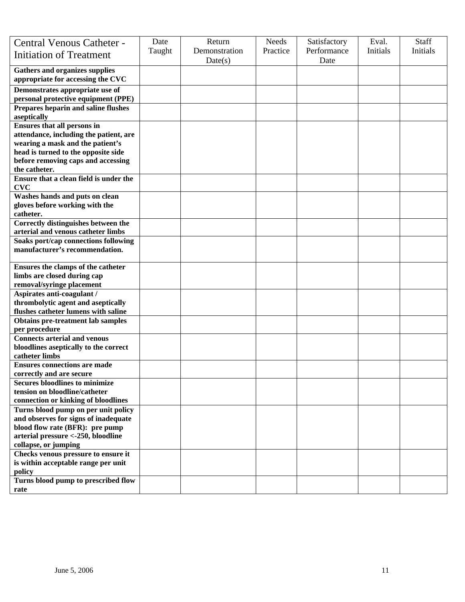| Central Venous Catheter -<br><b>Initiation of Treatment</b>             | Date<br>Taught | Return<br>Demonstration | Needs<br>Practice | Satisfactory<br>Performance | Eval.<br>Initials | <b>Staff</b><br>Initials |
|-------------------------------------------------------------------------|----------------|-------------------------|-------------------|-----------------------------|-------------------|--------------------------|
| <b>Gathers and organizes supplies</b>                                   |                | Date(s)                 |                   | Date                        |                   |                          |
| appropriate for accessing the CVC                                       |                |                         |                   |                             |                   |                          |
| Demonstrates appropriate use of                                         |                |                         |                   |                             |                   |                          |
| personal protective equipment (PPE)                                     |                |                         |                   |                             |                   |                          |
| Prepares heparin and saline flushes                                     |                |                         |                   |                             |                   |                          |
| aseptically<br><b>Ensures that all persons in</b>                       |                |                         |                   |                             |                   |                          |
| attendance, including the patient, are                                  |                |                         |                   |                             |                   |                          |
| wearing a mask and the patient's                                        |                |                         |                   |                             |                   |                          |
| head is turned to the opposite side                                     |                |                         |                   |                             |                   |                          |
| before removing caps and accessing                                      |                |                         |                   |                             |                   |                          |
| the catheter.                                                           |                |                         |                   |                             |                   |                          |
| Ensure that a clean field is under the                                  |                |                         |                   |                             |                   |                          |
| CVC                                                                     |                |                         |                   |                             |                   |                          |
| Washes hands and puts on clean                                          |                |                         |                   |                             |                   |                          |
| gloves before working with the                                          |                |                         |                   |                             |                   |                          |
| catheter.<br>Correctly distinguishes between the                        |                |                         |                   |                             |                   |                          |
| arterial and venous catheter limbs                                      |                |                         |                   |                             |                   |                          |
| Soaks port/cap connections following                                    |                |                         |                   |                             |                   |                          |
| manufacturer's recommendation.                                          |                |                         |                   |                             |                   |                          |
|                                                                         |                |                         |                   |                             |                   |                          |
| Ensures the clamps of the catheter                                      |                |                         |                   |                             |                   |                          |
| limbs are closed during cap                                             |                |                         |                   |                             |                   |                          |
| removal/syringe placement                                               |                |                         |                   |                             |                   |                          |
| Aspirates anti-coagulant /                                              |                |                         |                   |                             |                   |                          |
| thrombolytic agent and aseptically                                      |                |                         |                   |                             |                   |                          |
| flushes catheter lumens with saline                                     |                |                         |                   |                             |                   |                          |
| <b>Obtains pre-treatment lab samples</b><br>per procedure               |                |                         |                   |                             |                   |                          |
| <b>Connects arterial and venous</b>                                     |                |                         |                   |                             |                   |                          |
| bloodlines aseptically to the correct                                   |                |                         |                   |                             |                   |                          |
| catheter limbs                                                          |                |                         |                   |                             |                   |                          |
| <b>Ensures connections are made</b>                                     |                |                         |                   |                             |                   |                          |
| correctly and are secure                                                |                |                         |                   |                             |                   |                          |
| <b>Secures bloodlines to minimize</b>                                   |                |                         |                   |                             |                   |                          |
| tension on bloodline/catheter                                           |                |                         |                   |                             |                   |                          |
| connection or kinking of bloodlines                                     |                |                         |                   |                             |                   |                          |
| Turns blood pump on per unit policy                                     |                |                         |                   |                             |                   |                          |
| and observes for signs of inadequate<br>blood flow rate (BFR): pre pump |                |                         |                   |                             |                   |                          |
| arterial pressure <- 250, bloodline                                     |                |                         |                   |                             |                   |                          |
| collapse, or jumping                                                    |                |                         |                   |                             |                   |                          |
| Checks venous pressure to ensure it                                     |                |                         |                   |                             |                   |                          |
| is within acceptable range per unit                                     |                |                         |                   |                             |                   |                          |
| policy                                                                  |                |                         |                   |                             |                   |                          |
| Turns blood pump to prescribed flow                                     |                |                         |                   |                             |                   |                          |
| rate                                                                    |                |                         |                   |                             |                   |                          |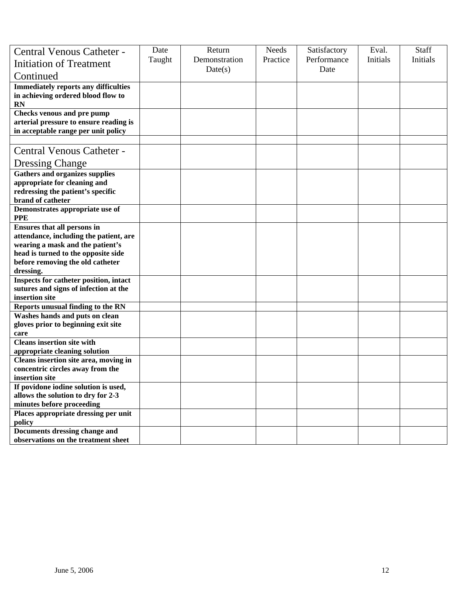| Central Venous Catheter -                                                                                   | Date   | Return        | <b>Needs</b> | Satisfactory | Eval.    | Staff    |
|-------------------------------------------------------------------------------------------------------------|--------|---------------|--------------|--------------|----------|----------|
| <b>Initiation of Treatment</b>                                                                              | Taught | Demonstration | Practice     | Performance  | Initials | Initials |
| Continued                                                                                                   |        | Date(s)       |              | Date         |          |          |
| <b>Immediately reports any difficulties</b><br>in achieving ordered blood flow to<br>RN                     |        |               |              |              |          |          |
| Checks venous and pre pump<br>arterial pressure to ensure reading is<br>in acceptable range per unit policy |        |               |              |              |          |          |
|                                                                                                             |        |               |              |              |          |          |
| <b>Central Venous Catheter -</b>                                                                            |        |               |              |              |          |          |
| <b>Dressing Change</b>                                                                                      |        |               |              |              |          |          |
| <b>Gathers and organizes supplies</b>                                                                       |        |               |              |              |          |          |
| appropriate for cleaning and<br>redressing the patient's specific                                           |        |               |              |              |          |          |
| brand of catheter                                                                                           |        |               |              |              |          |          |
| Demonstrates appropriate use of                                                                             |        |               |              |              |          |          |
| <b>PPE</b>                                                                                                  |        |               |              |              |          |          |
| <b>Ensures that all persons in</b>                                                                          |        |               |              |              |          |          |
| attendance, including the patient, are                                                                      |        |               |              |              |          |          |
| wearing a mask and the patient's                                                                            |        |               |              |              |          |          |
| head is turned to the opposite side                                                                         |        |               |              |              |          |          |
| before removing the old catheter<br>dressing.                                                               |        |               |              |              |          |          |
| Inspects for catheter position, intact                                                                      |        |               |              |              |          |          |
| sutures and signs of infection at the                                                                       |        |               |              |              |          |          |
| insertion site                                                                                              |        |               |              |              |          |          |
| <b>Reports unusual finding to the RN</b>                                                                    |        |               |              |              |          |          |
| Washes hands and puts on clean                                                                              |        |               |              |              |          |          |
| gloves prior to beginning exit site                                                                         |        |               |              |              |          |          |
| care<br><b>Cleans insertion site with</b>                                                                   |        |               |              |              |          |          |
| appropriate cleaning solution                                                                               |        |               |              |              |          |          |
| Cleans insertion site area, moving in                                                                       |        |               |              |              |          |          |
| concentric circles away from the                                                                            |        |               |              |              |          |          |
| insertion site                                                                                              |        |               |              |              |          |          |
| If povidone iodine solution is used,                                                                        |        |               |              |              |          |          |
| allows the solution to dry for 2-3                                                                          |        |               |              |              |          |          |
| minutes before proceeding                                                                                   |        |               |              |              |          |          |
| Places appropriate dressing per unit                                                                        |        |               |              |              |          |          |
| policy<br>Documents dressing change and                                                                     |        |               |              |              |          |          |
| observations on the treatment sheet                                                                         |        |               |              |              |          |          |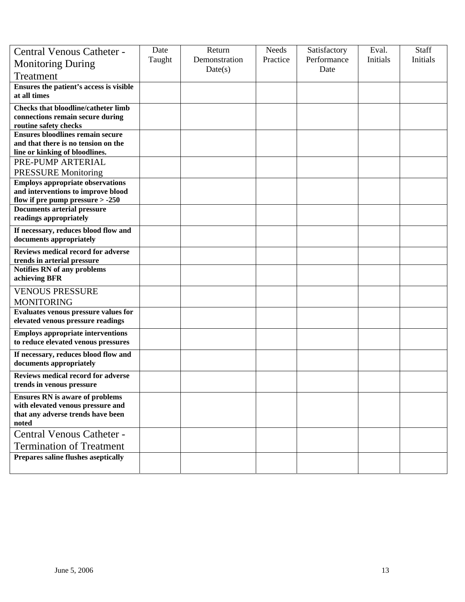| Central Venous Catheter -<br><b>Monitoring During</b><br>Treatment                                                        | Date<br>Taught | Return<br>Demonstration<br>Date(s) | <b>Needs</b><br>Practice | Satisfactory<br>Performance<br>Date | Eval.<br>Initials | Staff<br>Initials |
|---------------------------------------------------------------------------------------------------------------------------|----------------|------------------------------------|--------------------------|-------------------------------------|-------------------|-------------------|
| Ensures the patient's access is visible<br>at all times                                                                   |                |                                    |                          |                                     |                   |                   |
| <b>Checks that bloodline/catheter limb</b><br>connections remain secure during<br>routine safety checks                   |                |                                    |                          |                                     |                   |                   |
| <b>Ensures bloodlines remain secure</b><br>and that there is no tension on the<br>line or kinking of bloodlines.          |                |                                    |                          |                                     |                   |                   |
| PRE-PUMP ARTERIAL<br><b>PRESSURE Monitoring</b>                                                                           |                |                                    |                          |                                     |                   |                   |
| <b>Employs appropriate observations</b><br>and interventions to improve blood<br>flow if pre pump pressure $> -250$       |                |                                    |                          |                                     |                   |                   |
| <b>Documents arterial pressure</b><br>readings appropriately                                                              |                |                                    |                          |                                     |                   |                   |
| If necessary, reduces blood flow and<br>documents appropriately                                                           |                |                                    |                          |                                     |                   |                   |
| Reviews medical record for adverse<br>trends in arterial pressure                                                         |                |                                    |                          |                                     |                   |                   |
| Notifies RN of any problems<br>achieving BFR                                                                              |                |                                    |                          |                                     |                   |                   |
| <b>VENOUS PRESSURE</b><br><b>MONITORING</b>                                                                               |                |                                    |                          |                                     |                   |                   |
| <b>Evaluates venous pressure values for</b><br>elevated venous pressure readings                                          |                |                                    |                          |                                     |                   |                   |
| <b>Employs appropriate interventions</b><br>to reduce elevated venous pressures                                           |                |                                    |                          |                                     |                   |                   |
| If necessary, reduces blood flow and<br>documents appropriately                                                           |                |                                    |                          |                                     |                   |                   |
| Reviews medical record for adverse<br>trends in venous pressure                                                           |                |                                    |                          |                                     |                   |                   |
| <b>Ensures RN</b> is aware of problems<br>with elevated venous pressure and<br>that any adverse trends have been<br>noted |                |                                    |                          |                                     |                   |                   |
| <b>Central Venous Catheter -</b><br><b>Termination of Treatment</b>                                                       |                |                                    |                          |                                     |                   |                   |
| Prepares saline flushes aseptically                                                                                       |                |                                    |                          |                                     |                   |                   |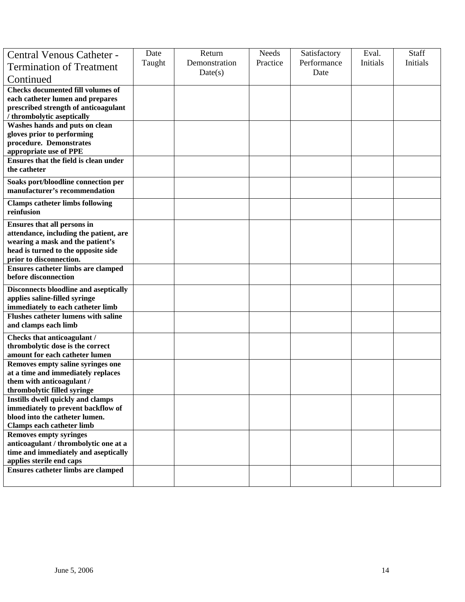| Central Venous Catheter -<br><b>Termination of Treatment</b><br>Continued                                                                                                          | Date<br>Taught | Return<br>Demonstration<br>Date(s) | <b>Needs</b><br>Practice | Satisfactory<br>Performance<br>Date | Eval.<br>Initials | <b>Staff</b><br>Initials |
|------------------------------------------------------------------------------------------------------------------------------------------------------------------------------------|----------------|------------------------------------|--------------------------|-------------------------------------|-------------------|--------------------------|
| <b>Checks documented fill volumes of</b><br>each catheter lumen and prepares<br>prescribed strength of anticoagulant<br>/ thrombolytic aseptically                                 |                |                                    |                          |                                     |                   |                          |
| Washes hands and puts on clean<br>gloves prior to performing<br>procedure. Demonstrates<br>appropriate use of PPE                                                                  |                |                                    |                          |                                     |                   |                          |
| Ensures that the field is clean under<br>the catheter                                                                                                                              |                |                                    |                          |                                     |                   |                          |
| Soaks port/bloodline connection per<br>manufacturer's recommendation                                                                                                               |                |                                    |                          |                                     |                   |                          |
| <b>Clamps catheter limbs following</b><br>reinfusion                                                                                                                               |                |                                    |                          |                                     |                   |                          |
| <b>Ensures that all persons in</b><br>attendance, including the patient, are<br>wearing a mask and the patient's<br>head is turned to the opposite side<br>prior to disconnection. |                |                                    |                          |                                     |                   |                          |
| Ensures catheter limbs are clamped<br>before disconnection                                                                                                                         |                |                                    |                          |                                     |                   |                          |
| Disconnects bloodline and aseptically<br>applies saline-filled syringe<br>immediately to each catheter limb                                                                        |                |                                    |                          |                                     |                   |                          |
| <b>Flushes catheter lumens with saline</b><br>and clamps each limb                                                                                                                 |                |                                    |                          |                                     |                   |                          |
| Checks that anticoagulant /<br>thrombolytic dose is the correct<br>amount for each catheter lumen                                                                                  |                |                                    |                          |                                     |                   |                          |
| Removes empty saline syringes one<br>at a time and immediately replaces<br>them with anticoagulant /<br>thrombolytic filled syringe                                                |                |                                    |                          |                                     |                   |                          |
| Instills dwell quickly and clamps<br>immediately to prevent backflow of<br>blood into the catheter lumen.<br><b>Clamps each catheter limb</b>                                      |                |                                    |                          |                                     |                   |                          |
| <b>Removes empty syringes</b><br>anticoagulant / thrombolytic one at a<br>time and immediately and aseptically<br>applies sterile end caps                                         |                |                                    |                          |                                     |                   |                          |
| <b>Ensures catheter limbs are clamped</b>                                                                                                                                          |                |                                    |                          |                                     |                   |                          |